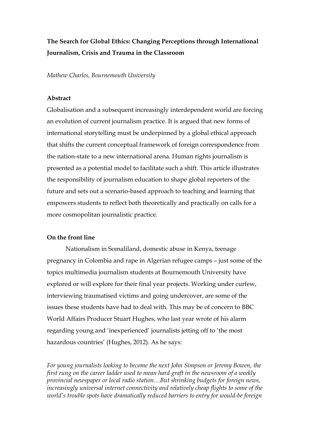# **The Search for Global Ethics: Changing Perceptions through International Journalism, Crisis and Trauma in the Classroom**

*Mathew Charles, Bournemouth University*

#### **Abstract**

Globalisation and a subsequent increasingly interdependent world are forcing an evolution of current journalism practice. It is argued that new forms of international storytelling must be underpinned by a global ethical approach that shifts the current conceptual framework of foreign correspondence from the nation-state to a new international arena. Human rights journalism is presented as a potential model to facilitate such a shift. This article illustrates the responsibility of journalism education to shape global reporters of the future and sets out a scenario-based approach to teaching and learning that empowers students to reflect both theoretically and practically on calls for a more cosmopolitan journalistic practice.

## **On the front line**

Nationalism in Somaliland, domestic abuse in Kenya, teenage pregnancy in Colombia and rape in Algerian refugee camps – just some of the topics multimedia journalism students at Bournemouth University have explored or will explore for their final year projects. Working under curfew, interviewing traumatised victims and going undercover, are some of the issues these students have had to deal with. This may be of concern to BBC World Affairs Producer Stuart Hughes, who last year wrote of his alarm regarding young and 'inexperienced' journalists jetting off to 'the most hazardous countries' (Hughes, 2012). As he says:

*For young journalists looking to become the next John Simpson or Jeremy Bowen, the first rung on the career ladder used to mean hard graft in the newsroom of a weekly provincial newspaper or local radio station…But shrinking budgets for foreign news, increasingly universal internet connectivity and relatively cheap flights to some of the world's trouble spots have dramatically reduced barriers to entry for would-be foreign*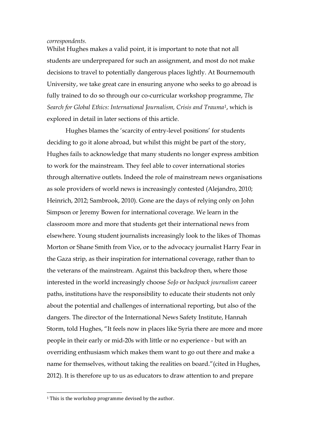#### *correspondents.*

Whilst Hughes makes a valid point, it is important to note that not all students are underprepared for such an assignment, and most do not make decisions to travel to potentially dangerous places lightly. At Bournemouth University, we take great care in ensuring anyone who seeks to go abroad is fully trained to do so through our co-curricular workshop programme, *The Search for Global Ethics: International Journalism, Crisis and Trauma[1](#page-1-0)*, which is explored in detail in later sections of this article.

Hughes blames the 'scarcity of entry-level positions' for students deciding to go it alone abroad, but whilst this might be part of the story, Hughes fails to acknowledge that many students no longer express ambition to work for the mainstream. They feel able to cover international stories through alternative outlets. Indeed the role of mainstream news organisations as sole providers of world news is increasingly contested (Alejandro, 2010; Heinrich, 2012; Sambrook, 2010). Gone are the days of relying only on John Simpson or Jeremy Bowen for international coverage. We learn in the classroom more and more that students get their international news from elsewhere. Young student journalists increasingly look to the likes of Thomas Morton or Shane Smith from Vice, or to the advocacy journalist Harry Fear in the Gaza strip, as their inspiration for international coverage, rather than to the veterans of the mainstream. Against this backdrop then, where those interested in the world increasingly choose *SoJo* or *backpack journalism* career paths, institutions have the responsibility to educate their students not only about the potential and challenges of international reporting, but also of the dangers. The director of the International News Safety Institute, Hannah Storm, told Hughes, "It feels now in places like Syria there are more and more people in their early or mid-20s with little or no experience - but with an overriding enthusiasm which makes them want to go out there and make a name for themselves, without taking the realities on board."(cited in Hughes, 2012). It is therefore up to us as educators to draw attention to and prepare

<span id="page-1-0"></span><sup>&</sup>lt;sup>1</sup> This is the workshop programme devised by the author.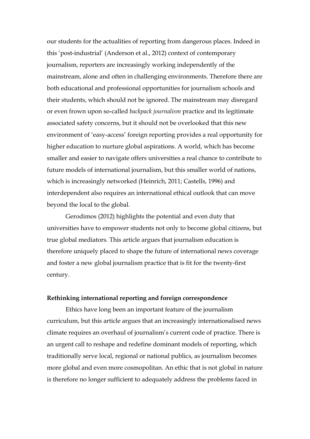our students for the actualities of reporting from dangerous places. Indeed in this 'post-industrial' (Anderson et al., 2012) context of contemporary journalism, reporters are increasingly working independently of the mainstream, alone and often in challenging environments. Therefore there are both educational and professional opportunities for journalism schools and their students, which should not be ignored. The mainstream may disregard or even frown upon so-called *backpack journalism* practice and its legitimate associated safety concerns, but it should not be overlooked that this new environment of 'easy-access' foreign reporting provides a real opportunity for higher education to nurture global aspirations. A world, which has become smaller and easier to navigate offers universities a real chance to contribute to future models of international journalism, but this smaller world of nations, which is increasingly networked (Heinrich, 2011; Castells, 1996) and interdependent also requires an international ethical outlook that can move beyond the local to the global.

Gerodimos (2012) highlights the potential and even duty that universities have to empower students not only to become global citizens, but true global mediators. This article argues that journalism education is therefore uniquely placed to shape the future of international news coverage and foster a new global journalism practice that is fit for the twenty-first century.

#### **Rethinking international reporting and foreign correspondence**

Ethics have long been an important feature of the journalism curriculum, but this article argues that an increasingly internationalised news climate requires an overhaul of journalism's current code of practice. There is an urgent call to reshape and redefine dominant models of reporting, which traditionally serve local, regional or national publics, as journalism becomes more global and even more cosmopolitan. An ethic that is not global in nature is therefore no longer sufficient to adequately address the problems faced in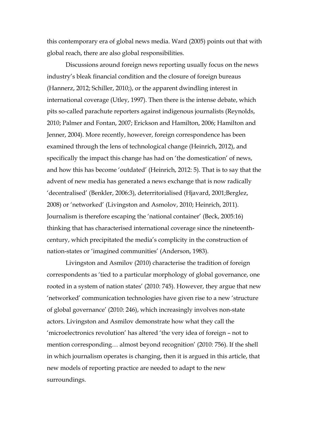this contemporary era of global news media. Ward (2005) points out that with global reach, there are also global responsibilities.

Discussions around foreign news reporting usually focus on the news industry's bleak financial condition and the closure of foreign bureaus (Hannerz, 2012; Schiller, 2010;), or the apparent dwindling interest in international coverage (Utley, 1997). Then there is the intense debate, which pits so-called parachute reporters against indigenous journalists (Reynolds, 2010; Palmer and Fontan, 2007; Erickson and Hamilton, 2006; Hamilton and Jenner, 2004). More recently, however, foreign correspondence has been examined through the lens of technological change (Heinrich, 2012), and specifically the impact this change has had on 'the domestication' of news, and how this has become 'outdated' (Heinrich, 2012: 5). That is to say that the advent of new media has generated a news exchange that is now radically 'decentralised' (Benkler, 2006:3), deterritorialised (Hjavard, 2001;Berglez, 2008) or 'networked' (Livingston and Asmolov, 2010; Heinrich, 2011). Journalism is therefore escaping the 'national container' (Beck, 2005:16) thinking that has characterised international coverage since the nineteenthcentury, which precipitated the media's complicity in the construction of nation-states or 'imagined communities' (Anderson, 1983).

Livingston and Asmilov (2010) characterise the tradition of foreign correspondents as 'tied to a particular morphology of global governance, one rooted in a system of nation states' (2010: 745). However, they argue that new 'networked' communication technologies have given rise to a new 'structure of global governance' (2010: 246), which increasingly involves non-state actors. Livingston and Asmilov demonstrate how what they call the 'microelectronics revolution' has altered 'the very idea of foreign – not to mention corresponding… almost beyond recognition' (2010: 756). If the shell in which journalism operates is changing, then it is argued in this article, that new models of reporting practice are needed to adapt to the new surroundings.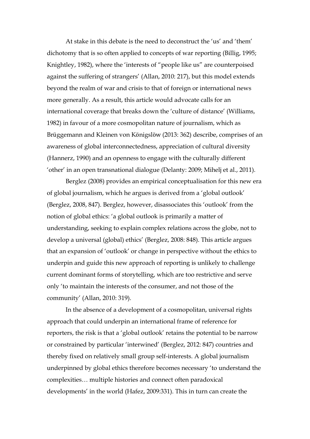At stake in this debate is the need to deconstruct the 'us' and 'them' dichotomy that is so often applied to concepts of war reporting (Billig, 1995; Knightley, 1982), where the 'interests of "people like us" are counterpoised against the suffering of strangers' (Allan, 2010: 217), but this model extends beyond the realm of war and crisis to that of foreign or international news more generally. As a result, this article would advocate calls for an international coverage that breaks down the 'culture of distance' (Williams, 1982) in favour of a more cosmopolitan nature of journalism, which as Brüggemann and Kleinen von Königslöw (2013: 362) describe, comprises of an awareness of global interconnectedness, appreciation of cultural diversity (Hannerz, 1990) and an openness to engage with the culturally different 'other' in an open transnational dialogue (Delanty: 2009; Mihelj et al., 2011).

Berglez (2008) provides an empirical conceptualisation for this new era of global journalism, which he argues is derived from a 'global outlook' (Berglez, 2008, 847). Berglez, however, disassociates this 'outlook' from the notion of global ethics: 'a global outlook is primarily a matter of understanding, seeking to explain complex relations across the globe, not to develop a universal (global) ethics' (Berglez, 2008: 848). This article argues that an expansion of 'outlook' or change in perspective without the ethics to underpin and guide this new approach of reporting is unlikely to challenge current dominant forms of storytelling, which are too restrictive and serve only 'to maintain the interests of the consumer, and not those of the community' (Allan, 2010: 319).

In the absence of a development of a cosmopolitan, universal rights approach that could underpin an international frame of reference for reporters, the risk is that a 'global outlook' retains the potential to be narrow or constrained by particular 'interwined' (Berglez, 2012: 847) countries and thereby fixed on relatively small group self-interests. A global journalism underpinned by global ethics therefore becomes necessary 'to understand the complexities… multiple histories and connect often paradoxical developments' in the world (Hafez, 2009:331). This in turn can create the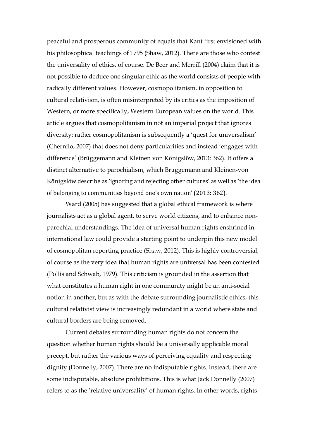peaceful and prosperous community of equals that Kant first envisioned with his philosophical teachings of 1795 (Shaw, 2012). There are those who contest the universality of ethics, of course. De Beer and Merrill (2004) claim that it is not possible to deduce one singular ethic as the world consists of people with radically different values. However, cosmopolitanism, in opposition to cultural relativism, is often misinterpreted by its critics as the imposition of Western, or more specifically, Western European values on the world. This article argues that cosmopolitanism in not an imperial project that ignores diversity; rather cosmopolitanism is subsequently a 'quest for universalism' (Chernilo, 2007) that does not deny particularities and instead 'engages with difference' (Brüggemann and Kleinen von Königslöw, 2013: 362). It offers a distinct alternative to parochialism, which Brüggemann and Kleinen-von Königslöw describe as 'ignoring and rejecting other cultures' as well as 'the idea of belonging to communities beyond one's own nation' (2013: 362).

Ward (2005) has suggested that a global ethical framework is where journalists act as a global agent, to serve world citizens, and to enhance nonparochial understandings. The idea of universal human rights enshrined in international law could provide a starting point to underpin this new model of cosmopolitan reporting practice (Shaw, 2012). This is highly controversial, of course as the very idea that human rights are universal has been contested (Pollis and Schwab, 1979). This criticism is grounded in the assertion that what constitutes a human right in one community might be an anti-social notion in another, but as with the debate surrounding journalistic ethics, this cultural relativist view is increasingly redundant in a world where state and cultural borders are being removed.

Current debates surrounding human rights do not concern the question whether human rights should be a universally applicable moral precept, but rather the various ways of perceiving equality and respecting dignity (Donnelly, 2007). There are no indisputable rights. Instead, there are some indisputable, absolute prohibitions. This is what Jack Donnelly (2007) refers to as the 'relative universality' of human rights. In other words, rights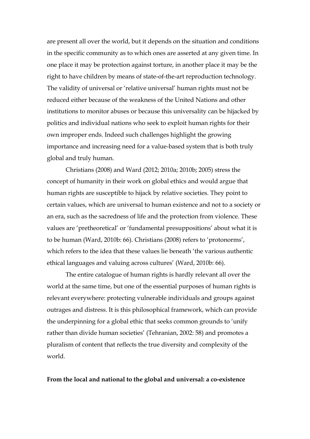are present all over the world, but it depends on the situation and conditions in the specific community as to which ones are asserted at any given time. In one place it may be protection against torture, in another place it may be the right to have children by means of state-of-the-art reproduction technology. The validity of universal or 'relative universal' human rights must not be reduced either because of the weakness of the United Nations and other institutions to monitor abuses or because this universality can be hijacked by politics and individual nations who seek to exploit human rights for their own improper ends. Indeed such challenges highlight the growing importance and increasing need for a value-based system that is both truly global and truly human.

Christians (2008) and Ward (2012; 2010a; 2010b; 2005) stress the concept of humanity in their work on global ethics and would argue that human rights are susceptible to hijack by relative societies. They point to certain values, which are universal to human existence and not to a society or an era, such as the sacredness of life and the protection from violence. These values are 'pretheoretical' or 'fundamental presuppositions' about what it is to be human (Ward, 2010b: 66). Christians (2008) refers to 'protonorms', which refers to the idea that these values lie beneath 'the various authentic ethical languages and valuing across cultures' (Ward, 2010b: 66).

The entire catalogue of human rights is hardly relevant all over the world at the same time, but one of the essential purposes of human rights is relevant everywhere: protecting vulnerable individuals and groups against outrages and distress. It is this philosophical framework, which can provide the underpinning for a global ethic that seeks common grounds to 'unify rather than divide human societies' (Tehranian, 2002: 58) and promotes a pluralism of content that reflects the true diversity and complexity of the world.

#### **From the local and national to the global and universal: a co-existence**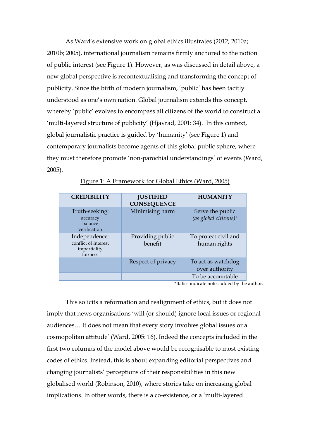As Ward's extensive work on global ethics illustrates (2012; 2010a; 2010b; 2005), international journalism remains firmly anchored to the notion of public interest (see Figure 1). However, as was discussed in detail above, a new global perspective is recontextualising and transforming the concept of publicity. Since the birth of modern journalism, 'public' has been tacitly understood as one's own nation. Global journalism extends this concept, whereby 'public' evolves to encompass all citizens of the world to construct a 'multi-layered structure of publicity' (Hjavrad, 2001: 34). In this context, global journalistic practice is guided by 'humanity' (see Figure 1) and contemporary journalists become agents of this global public sphere, where they must therefore promote 'non-parochial understandings' of events (Ward, 2005).

| <b>CREDIBILITY</b>                                                | <b>JUSTIFIED</b><br><b>CONSEQUENCE</b> | <b>HUMANITY</b>                             |
|-------------------------------------------------------------------|----------------------------------------|---------------------------------------------|
| Truth-seeking:<br>accuracy<br>balance<br>verification             | Minimising harm                        | Serve the public<br>$(as global citizens)*$ |
| Independence:<br>conflict of interest<br>impartiality<br>fairness | Providing public<br>benefit            | To protect civil and<br>human rights        |
|                                                                   | Respect of privacy                     | To act as watchdog<br>over authority        |
|                                                                   |                                        | To be accountable                           |

#### Figure 1: A Framework for Global Ethics (Ward, 2005)

\*Italics indicate notes added by the author.

This solicits a reformation and realignment of ethics, but it does not imply that news organisations 'will (or should) ignore local issues or regional audiences… It does not mean that every story involves global issues or a cosmopolitan attitude' (Ward, 2005: 16). Indeed the concepts included in the first two columns of the model above would be recognisable to most existing codes of ethics. Instead, this is about expanding editorial perspectives and changing journalists' perceptions of their responsibilities in this new globalised world (Robinson, 2010), where stories take on increasing global implications. In other words, there is a co-existence, or a 'multi-layered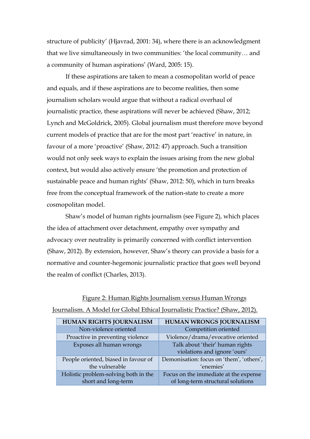structure of publicity' (Hjavrad, 2001: 34), where there is an acknowledgment that we live simultaneously in two communities: 'the local community… and a community of human aspirations' (Ward, 2005: 15).

If these aspirations are taken to mean a cosmopolitan world of peace and equals, and if these aspirations are to become realities, then some journalism scholars would argue that without a radical overhaul of journalistic practice, these aspirations will never be achieved (Shaw, 2012; Lynch and McGoldrick, 2005). Global journalism must therefore move beyond current models of practice that are for the most part 'reactive' in nature, in favour of a more 'proactive' (Shaw, 2012: 47) approach. Such a transition would not only seek ways to explain the issues arising from the new global context, but would also actively ensure 'the promotion and protection of sustainable peace and human rights' (Shaw, 2012: 50), which in turn breaks free from the conceptual framework of the nation-state to create a more cosmopolitan model.

Shaw's model of human rights journalism (see Figure 2), which places the idea of attachment over detachment, empathy over sympathy and advocacy over neutrality is primarily concerned with conflict intervention (Shaw, 2012). By extension, however, Shaw's theory can provide a basis for a normative and counter-hegemonic journalistic practice that goes well beyond the realm of conflict (Charles, 2013).

| Journalism. A Model for Global Ethical Journalistic Practice? (Shaw, 2012). |                                  |                                          |  |  |  |  |  |  |
|-----------------------------------------------------------------------------|----------------------------------|------------------------------------------|--|--|--|--|--|--|
|                                                                             | <b>HUMAN RIGHTS JOURNALISM</b>   | <b>HUMAN WRONGS JOURNALISM</b>           |  |  |  |  |  |  |
|                                                                             | Non-violence oriented            | Competition oriented                     |  |  |  |  |  |  |
|                                                                             | Proactive in preventing violence | Violence/drama/evocative oriented        |  |  |  |  |  |  |
| Exposes all human wrongs                                                    |                                  | Talk about 'their' human rights          |  |  |  |  |  |  |
|                                                                             |                                  | violations and ignore 'ours'             |  |  |  |  |  |  |
| People oriented, biased in favour of                                        |                                  | Demonisation: focus on 'them', 'others', |  |  |  |  |  |  |
|                                                                             | the vulnerable                   | 'enemies'                                |  |  |  |  |  |  |
| Holistic problem-solving both in the                                        |                                  | Focus on the immediate at the expense    |  |  |  |  |  |  |
|                                                                             | short and long-term              | of long-term structural solutions        |  |  |  |  |  |  |

| Figure 2: Human Rights Journalism versus Human Wrongs                       |  |  |  |  |  |  |  |
|-----------------------------------------------------------------------------|--|--|--|--|--|--|--|
| Journalism. A Model for Global Ethical Journalistic Practice? (Shaw, 2012). |  |  |  |  |  |  |  |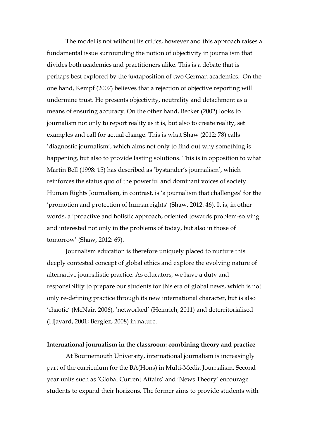The model is not without its critics, however and this approach raises a fundamental issue surrounding the notion of objectivity in journalism that divides both academics and practitioners alike. This is a debate that is perhaps best explored by the juxtaposition of two German academics. On the one hand, Kempf (2007) believes that a rejection of objective reporting will undermine trust. He presents objectivity, neutrality and detachment as a means of ensuring accuracy. On the other hand, Becker (2002) looks to journalism not only to report reality as it is, but also to create reality, set examples and call for actual change. This is what Shaw (2012: 78) calls 'diagnostic journalism', which aims not only to find out why something is happening, but also to provide lasting solutions. This is in opposition to what Martin Bell (1998: 15) has described as 'bystander's journalism', which reinforces the status quo of the powerful and dominant voices of society. Human Rights Journalism, in contrast, is 'a journalism that challenges' for the 'promotion and protection of human rights' (Shaw, 2012: 46). It is, in other words, a 'proactive and holistic approach, oriented towards problem-solving and interested not only in the problems of today, but also in those of tomorrow' (Shaw, 2012: 69).

Journalism education is therefore uniquely placed to nurture this deeply contested concept of global ethics and explore the evolving nature of alternative journalistic practice. As educators, we have a duty and responsibility to prepare our students for this era of global news, which is not only re-defining practice through its new international character, but is also 'chaotic' (McNair, 2006), 'networked' (Heinrich, 2011) and deterritorialised (Hjavard, 2001; Berglez, 2008) in nature.

#### **International journalism in the classroom: combining theory and practice**

At Bournemouth University, international journalism is increasingly part of the curriculum for the BA(Hons) in Multi-Media Journalism. Second year units such as 'Global Current Affairs' and 'News Theory' encourage students to expand their horizons. The former aims to provide students with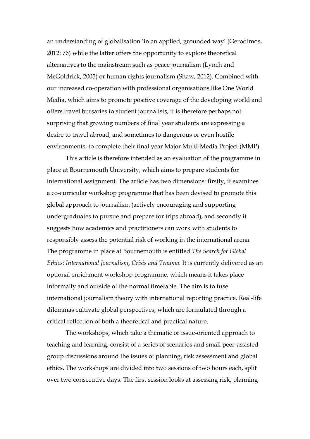an understanding of globalisation 'in an applied, grounded way' (Gerodimos, 2012: 76) while the latter offers the opportunity to explore theoretical alternatives to the mainstream such as peace journalism (Lynch and McGoldrick, 2005) or human rights journalism (Shaw, 2012). Combined with our increased co-operation with professional organisations like One World Media, which aims to promote positive coverage of the developing world and offers travel bursaries to student journalists, it is therefore perhaps not surprising that growing numbers of final year students are expressing a desire to travel abroad, and sometimes to dangerous or even hostile environments, to complete their final year Major Multi-Media Project (MMP).

This article is therefore intended as an evaluation of the programme in place at Bournemouth University, which aims to prepare students for international assignment. The article has two dimensions: firstly, it examines a co-curricular workshop programme that has been devised to promote this global approach to journalism (actively encouraging and supporting undergraduates to pursue and prepare for trips abroad), and secondly it suggests how academics and practitioners can work with students to responsibly assess the potential risk of working in the international arena. The programme in place at Bournemouth is entitled *The Search for Global Ethics: International Journalism, Crisis and Trauma*. It is currently delivered as an optional enrichment workshop programme, which means it takes place informally and outside of the normal timetable. The aim is to fuse international journalism theory with international reporting practice. Real-life dilemmas cultivate global perspectives, which are formulated through a critical reflection of both a theoretical and practical nature.

The workshops, which take a thematic or issue-oriented approach to teaching and learning, consist of a series of scenarios and small peer-assisted group discussions around the issues of planning, risk assessment and global ethics. The workshops are divided into two sessions of two hours each, split over two consecutive days. The first session looks at assessing risk, planning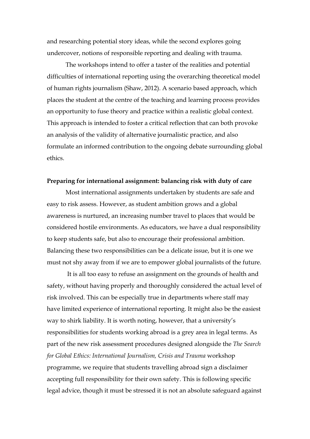and researching potential story ideas, while the second explores going undercover, notions of responsible reporting and dealing with trauma.

The workshops intend to offer a taster of the realities and potential difficulties of international reporting using the overarching theoretical model of human rights journalism (Shaw, 2012). A scenario based approach, which places the student at the centre of the teaching and learning process provides an opportunity to fuse theory and practice within a realistic global context. This approach is intended to foster a critical reflection that can both provoke an analysis of the validity of alternative journalistic practice, and also formulate an informed contribution to the ongoing debate surrounding global ethics.

#### **Preparing for international assignment: balancing risk with duty of care**

Most international assignments undertaken by students are safe and easy to risk assess. However, as student ambition grows and a global awareness is nurtured, an increasing number travel to places that would be considered hostile environments. As educators, we have a dual responsibility to keep students safe, but also to encourage their professional ambition. Balancing these two responsibilities can be a delicate issue, but it is one we must not shy away from if we are to empower global journalists of the future.

It is all too easy to refuse an assignment on the grounds of health and safety, without having properly and thoroughly considered the actual level of risk involved. This can be especially true in departments where staff may have limited experience of international reporting. It might also be the easiest way to shirk liability. It is worth noting, however, that a university's responsibilities for students working abroad is a grey area in legal terms. As part of the new risk assessment procedures designed alongside the *The Search for Global Ethics: International Journalism, Crisis and Trauma* workshop programme, we require that students travelling abroad sign a disclaimer accepting full responsibility for their own safety. This is following specific legal advice, though it must be stressed it is not an absolute safeguard against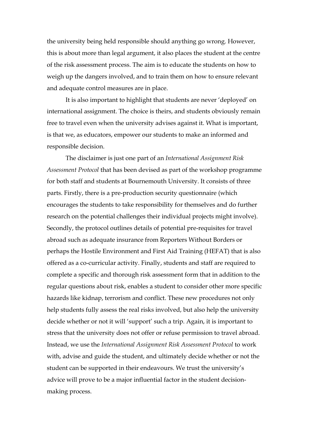the university being held responsible should anything go wrong. However, this is about more than legal argument, it also places the student at the centre of the risk assessment process. The aim is to educate the students on how to weigh up the dangers involved, and to train them on how to ensure relevant and adequate control measures are in place.

It is also important to highlight that students are never 'deployed' on international assignment. The choice is theirs, and students obviously remain free to travel even when the university advises against it. What is important, is that we, as educators, empower our students to make an informed and responsible decision.

The disclaimer is just one part of an *International Assignment Risk Assessment Protocol* that has been devised as part of the workshop programme for both staff and students at Bournemouth University. It consists of three parts. Firstly, there is a pre-production security questionnaire (which encourages the students to take responsibility for themselves and do further research on the potential challenges their individual projects might involve). Secondly, the protocol outlines details of potential pre-requisites for travel abroad such as adequate insurance from Reporters Without Borders or perhaps the Hostile Environment and First Aid Training (HEFAT) that is also offered as a co-curricular activity. Finally, students and staff are required to complete a specific and thorough risk assessment form that in addition to the regular questions about risk, enables a student to consider other more specific hazards like kidnap, terrorism and conflict. These new procedures not only help students fully assess the real risks involved, but also help the university decide whether or not it will 'support' such a trip. Again, it is important to stress that the university does not offer or refuse permission to travel abroad. Instead, we use the *International Assignment Risk Assessment Protocol* to work with, advise and guide the student, and ultimately decide whether or not the student can be supported in their endeavours. We trust the university's advice will prove to be a major influential factor in the student decisionmaking process.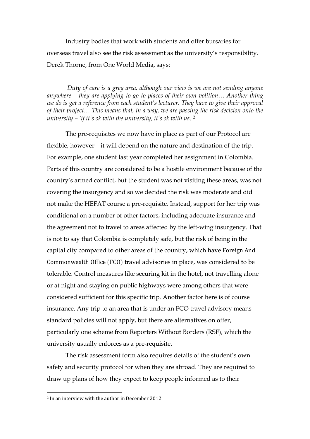Industry bodies that work with students and offer bursaries for overseas travel also see the risk assessment as the university's responsibility. Derek Thorne, from One World Media, says:

*Duty of care is a grey area, although our view is we are not sending anyone anywhere – they are applying to go to places of their own volition… Another thing we do is get a reference from each student's lecturer. They have to give their approval of their project… This means that, in a way, we are passing the risk decision onto the university – 'if it's ok with the university, it's ok with us*. [2](#page-13-0)

The pre-requisites we now have in place as part of our Protocol are flexible, however – it will depend on the nature and destination of the trip. For example, one student last year completed her assignment in Colombia. Parts of this country are considered to be a hostile environment because of the country's armed conflict, but the student was not visiting these areas, was not covering the insurgency and so we decided the risk was moderate and did not make the HEFAT course a pre-requisite. Instead, support for her trip was conditional on a number of other factors, including adequate insurance and the agreement not to travel to areas affected by the left-wing insurgency. That is not to say that Colombia is completely safe, but the risk of being in the capital city compared to other areas of the country, which have Foreign And Commonwealth Office (FCO) travel advisories in place, was considered to be tolerable. Control measures like securing kit in the hotel, not travelling alone or at night and staying on public highways were among others that were considered sufficient for this specific trip. Another factor here is of course insurance. Any trip to an area that is under an FCO travel advisory means standard policies will not apply, but there are alternatives on offer, particularly one scheme from Reporters Without Borders (RSF), which the university usually enforces as a pre-requisite.

The risk assessment form also requires details of the student's own safety and security protocol for when they are abroad. They are required to draw up plans of how they expect to keep people informed as to their

<span id="page-13-0"></span> <sup>2</sup> In an interview with the author in December 2012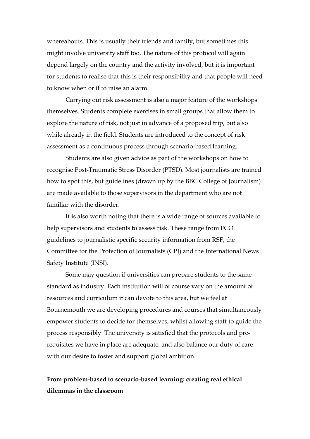whereabouts. This is usually their friends and family, but sometimes this might involve university staff too. The nature of this protocol will again depend largely on the country and the activity involved, but it is important for students to realise that this is their responsibility and that people will need to know when or if to raise an alarm.

Carrying out risk assessment is also a major feature of the workshops themselves. Students complete exercises in small groups that allow them to explore the nature of risk, not just in advance of a proposed trip, but also while already in the field. Students are introduced to the concept of risk assessment as a continuous process through scenario-based learning.

Students are also given advice as part of the workshops on how to recognise Post-Traumatic Stress Disorder (PTSD). Most journalists are trained how to spot this, but guidelines (drawn up by the BBC College of Journalism) are made available to those supervisors in the department who are not familiar with the disorder.

It is also worth noting that there is a wide range of sources available to help supervisors and students to assess risk. These range from FCO guidelines to journalistic specific security information from RSF, the Committee for the Protection of Journalists (CPJ) and the International News Safety Institute (INSI).

Some may question if universities can prepare students to the same standard as industry. Each institution will of course vary on the amount of resources and curriculum it can devote to this area, but we feel at Bournemouth we are developing procedures and courses that simultaneously empower students to decide for themselves, whilst allowing staff to guide the process responsibly. The university is satisfied that the protocols and prerequisites we have in place are adequate, and also balance our duty of care with our desire to foster and support global ambition.

## **From problem-based to scenario-based learning: creating real ethical dilemmas in the classroom**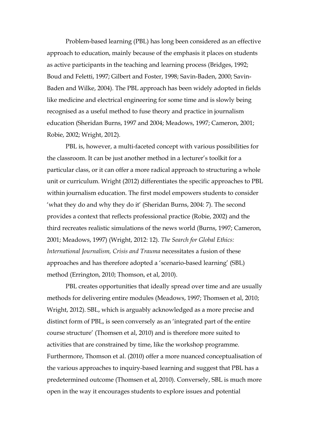Problem-based learning (PBL) has long been considered as an effective approach to education, mainly because of the emphasis it places on students as active participants in the teaching and learning process (Bridges, 1992; Boud and Feletti, 1997; Gilbert and Foster, 1998; Savin-Baden, 2000; Savin-Baden and Wilke, 2004). The PBL approach has been widely adopted in fields like medicine and electrical engineering for some time and is slowly being recognised as a useful method to fuse theory and practice in journalism education (Sheridan Burns, 1997 and 2004; Meadows, 1997; Cameron, 2001; Robie, 2002; Wright, 2012).

PBL is, however, a multi-faceted concept with various possibilities for the classroom. It can be just another method in a lecturer's toolkit for a particular class, or it can offer a more radical approach to structuring a whole unit or curriculum. Wright (2012) differentiates the specific approaches to PBL within journalism education. The first model empowers students to consider 'what they do and why they do it' (Sheridan Burns, 2004: 7). The second provides a context that reflects professional practice (Robie, 2002) and the third recreates realistic simulations of the news world (Burns, 1997; Cameron, 2001; Meadows, 1997) (Wright, 2012: 12). *The Search for Global Ethics: International Journalism, Crisis and Trauma* necessitates a fusion of these approaches and has therefore adopted a 'scenario-based learning' (SBL) method (Errington, 2010; Thomson, et al, 2010).

PBL creates opportunities that ideally spread over time and are usually methods for delivering entire modules (Meadows, 1997; Thomsen et al, 2010; Wright, 2012). SBL, which is arguably acknowledged as a more precise and distinct form of PBL, is seen conversely as an 'integrated part of the entire course structure' (Thomsen et al, 2010) and is therefore more suited to activities that are constrained by time, like the workshop programme. Furthermore, Thomson et al. (2010) offer a more nuanced conceptualisation of the various approaches to inquiry-based learning and suggest that PBL has a predetermined outcome (Thomsen et al, 2010). Conversely, SBL is much more open in the way it encourages students to explore issues and potential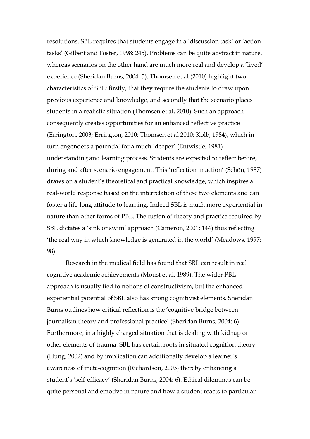resolutions. SBL requires that students engage in a 'discussion task' or 'action tasks' (Gilbert and Foster, 1998: 245). Problems can be quite abstract in nature, whereas scenarios on the other hand are much more real and develop a 'lived' experience (Sheridan Burns, 2004: 5). Thomsen et al (2010) highlight two characteristics of SBL: firstly, that they require the students to draw upon previous experience and knowledge, and secondly that the scenario places students in a realistic situation (Thomsen et al, 2010). Such an approach consequently creates opportunities for an enhanced reflective practice (Errington, 2003; Errington, 2010; Thomsen et al 2010; Kolb, 1984), which in turn engenders a potential for a much 'deeper' (Entwistle, 1981) understanding and learning process. Students are expected to reflect before, during and after scenario engagement. This 'reflection in action' (Schön, 1987) draws on a student's theoretical and practical knowledge, which inspires a real-world response based on the interrelation of these two elements and can foster a life-long attitude to learning. Indeed SBL is much more experiential in nature than other forms of PBL. The fusion of theory and practice required by SBL dictates a 'sink or swim' approach (Cameron, 2001: 144) thus reflecting 'the real way in which knowledge is generated in the world' (Meadows, 1997: 98).

Research in the medical field has found that SBL can result in real cognitive academic achievements (Moust et al, 1989). The wider PBL approach is usually tied to notions of constructivism, but the enhanced experiential potential of SBL also has strong cognitivist elements. Sheridan Burns outlines how critical reflection is the 'cognitive bridge between journalism theory and professional practice' (Sheridan Burns, 2004: 6). Furthermore, in a highly charged situation that is dealing with kidnap or other elements of trauma, SBL has certain roots in situated cognition theory (Hung, 2002) and by implication can additionally develop a learner's awareness of meta-cognition (Richardson, 2003) thereby enhancing a student's 'self-efficacy' (Sheridan Burns, 2004: 6). Ethical dilemmas can be quite personal and emotive in nature and how a student reacts to particular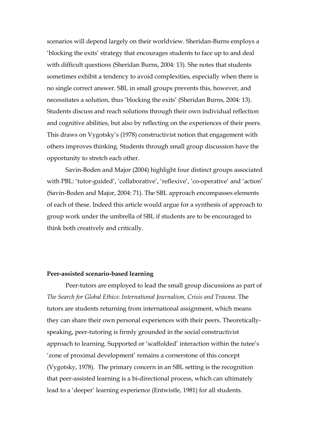scenarios will depend largely on their worldview. Sheridan-Burns employs a 'blocking the exits' strategy that encourages students to face up to and deal with difficult questions (Sheridan Burns, 2004: 13). She notes that students sometimes exhibit a tendency to avoid complexities, especially when there is no single correct answer. SBL in small groups prevents this, however, and necessitates a solution, thus 'blocking the exits' (Sheridan Burns, 2004: 13). Students discuss and reach solutions through their own individual reflection and cognitive abilities, but also by reflecting on the experiences of their peers. This draws on Vygotsky's (1978) constructivist notion that engagement with others improves thinking. Students through small group discussion have the opportunity to stretch each other.

Savin-Boden and Major (2004) highlight four distinct groups associated with PBL: 'tutor-guided', 'collaborative', 'reflexive', 'co-operative' and 'action' (Savin-Boden and Major, 2004: 71). The SBL approach encompasses elements of each of these. Indeed this article would argue for a synthesis of approach to group work under the umbrella of SBL if students are to be encouraged to think both creatively and critically.

#### **Peer-assisted scenario-based learning**

Peer-tutors are employed to lead the small group discussions as part of *The Search for Global Ethics: International Journalism, Crisis and Trauma*. The tutors are students returning from international assignment, which means they can share their own personal experiences with their peers. Theoreticallyspeaking, peer-tutoring is firmly grounded in the social constructivist approach to learning. Supported or 'scaffolded' interaction within the tutee's 'zone of proximal development' remains a cornerstone of this concept (Vygotsky, 1978). The primary concern in an SBL setting is the recognition that peer-assisted learning is a bi-directional process, which can ultimately lead to a 'deeper' learning experience (Entwistle, 1981) for all students.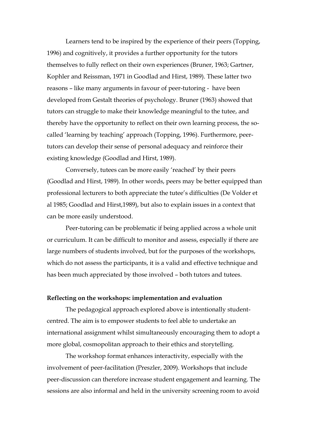Learners tend to be inspired by the experience of their peers (Topping, 1996) and cognitively, it provides a further opportunity for the tutors themselves to fully reflect on their own experiences (Bruner, 1963; Gartner, Kophler and Reissman, 1971 in Goodlad and Hirst, 1989). These latter two reasons – like many arguments in favour of peer-tutoring - have been developed from Gestalt theories of psychology. Bruner (1963) showed that tutors can struggle to make their knowledge meaningful to the tutee, and thereby have the opportunity to reflect on their own learning process, the socalled 'learning by teaching' approach (Topping, 1996). Furthermore, peertutors can develop their sense of personal adequacy and reinforce their existing knowledge (Goodlad and Hirst, 1989).

Conversely, tutees can be more easily 'reached' by their peers (Goodlad and Hirst, 1989). In other words, peers may be better equipped than professional lecturers to both appreciate the tutee's difficulties (De Volder et al 1985; Goodlad and Hirst,1989), but also to explain issues in a context that can be more easily understood.

Peer-tutoring can be problematic if being applied across a whole unit or curriculum. It can be difficult to monitor and assess, especially if there are large numbers of students involved, but for the purposes of the workshops, which do not assess the participants, it is a valid and effective technique and has been much appreciated by those involved – both tutors and tutees.

#### **Reflecting on the workshops: implementation and evaluation**

The pedagogical approach explored above is intentionally studentcentred. The aim is to empower students to feel able to undertake an international assignment whilst simultaneously encouraging them to adopt a more global, cosmopolitan approach to their ethics and storytelling.

The workshop format enhances interactivity, especially with the involvement of peer-facilitation (Preszler, 2009). Workshops that include peer-discussion can therefore increase student engagement and learning. The sessions are also informal and held in the university screening room to avoid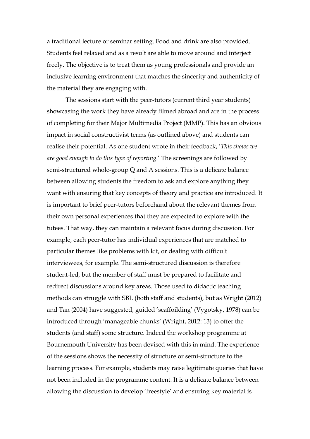a traditional lecture or seminar setting. Food and drink are also provided. Students feel relaxed and as a result are able to move around and interject freely. The objective is to treat them as young professionals and provide an inclusive learning environment that matches the sincerity and authenticity of the material they are engaging with.

The sessions start with the peer-tutors (current third year students) showcasing the work they have already filmed abroad and are in the process of completing for their Major Multimedia Project (MMP). This has an obvious impact in social constructivist terms (as outlined above) and students can realise their potential. As one student wrote in their feedback, '*This shows we are good enough to do this type of reporting*.' The screenings are followed by semi-structured whole-group Q and A sessions. This is a delicate balance between allowing students the freedom to ask and explore anything they want with ensuring that key concepts of theory and practice are introduced. It is important to brief peer-tutors beforehand about the relevant themes from their own personal experiences that they are expected to explore with the tutees. That way, they can maintain a relevant focus during discussion. For example, each peer-tutor has individual experiences that are matched to particular themes like problems with kit, or dealing with difficult interviewees, for example. The semi-structured discussion is therefore student-led, but the member of staff must be prepared to facilitate and redirect discussions around key areas. Those used to didactic teaching methods can struggle with SBL (both staff and students), but as Wright (2012) and Tan (2004) have suggested, guided 'scaffoilding' (Vygotsky, 1978) can be introduced through 'manageable chunks' (Wright, 2012: 13) to offer the students (and staff) some structure. Indeed the workshop programme at Bournemouth University has been devised with this in mind. The experience of the sessions shows the necessity of structure or semi-structure to the learning process. For example, students may raise legitimate queries that have not been included in the programme content. It is a delicate balance between allowing the discussion to develop 'freestyle' and ensuring key material is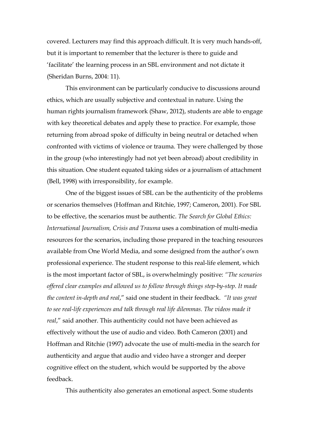covered. Lecturers may find this approach difficult. It is very much hands-off, but it is important to remember that the lecturer is there to guide and 'facilitate' the learning process in an SBL environment and not dictate it (Sheridan Burns, 2004: 11).

This environment can be particularly conducive to discussions around ethics, which are usually subjective and contextual in nature. Using the human rights journalism framework (Shaw, 2012), students are able to engage with key theoretical debates and apply these to practice. For example, those returning from abroad spoke of difficulty in being neutral or detached when confronted with victims of violence or trauma. They were challenged by those in the group (who interestingly had not yet been abroad) about credibility in this situation. One student equated taking sides or a journalism of attachment (Bell, 1998) with irresponsibility, for example.

One of the biggest issues of SBL can be the authenticity of the problems or scenarios themselves (Hoffman and Ritchie, 1997; Cameron, 2001). For SBL to be effective, the scenarios must be authentic. *The Search for Global Ethics: International Journalism, Crisis and Trauma* uses a combination of multi-media resources for the scenarios, including those prepared in the teaching resources available from One World Media, and some designed from the author's own professional experience. The student response to this real-life element, which is the most important factor of SBL, is overwhelmingly positive: *"The scenarios offered clear examples and allowed us to follow through things step-by-step. It made the content in-depth and real*," said one student in their feedback. *"It was great to see real-life experiences and talk through real life dilemmas. The videos made it real*," said another. This authenticity could not have been achieved as effectively without the use of audio and video. Both Cameron (2001) and Hoffman and Ritchie (1997) advocate the use of multi-media in the search for authenticity and argue that audio and video have a stronger and deeper cognitive effect on the student, which would be supported by the above feedback.

This authenticity also generates an emotional aspect. Some students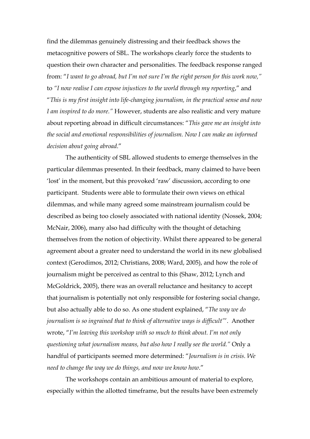find the dilemmas genuinely distressing and their feedback shows the metacognitive powers of SBL. The workshops clearly force the students to question their own character and personalities. The feedback response ranged from: "*I want to go abroad, but I'm not sure I'm the right person for this work now,"* to *"I now realise I can expose injustices to the world through my reporting*," and "*This is my first insight into life-changing journalism, in the practical sense and now I am inspired to do more."* However, students are also realistic and very mature about reporting abroad in difficult circumstances: "*This gave me an insight into the social and emotional responsibilities of journalism. Now I can make an informed decision about going abroad*."

The authenticity of SBL allowed students to emerge themselves in the particular dilemmas presented. In their feedback, many claimed to have been 'lost' in the moment, but this provoked 'raw' discussion, according to one participant. Students were able to formulate their own views on ethical dilemmas, and while many agreed some mainstream journalism could be described as being too closely associated with national identity (Nossek, 2004; McNair, 2006), many also had difficulty with the thought of detaching themselves from the notion of objectivity. Whilst there appeared to be general agreement about a greater need to understand the world in its new globalised context (Gerodimos, 2012; Christians, 2008; Ward, 2005), and how the role of journalism might be perceived as central to this (Shaw, 2012; Lynch and McGoldrick, 2005), there was an overall reluctance and hesitancy to accept that journalism is potentially not only responsible for fostering social change, but also actually able to do so. As one student explained, "*The way we do journalism is so ingrained that to think of alternative ways is difficult"*'. Another wrote, "*I'm leaving this workshop with so much to think about. I'm not only questioning what journalism means, but also how I really see the world."* Only a handful of participants seemed more determined: "*Journalism is in crisis. We need to change the way we do things, and now we know how*."

The workshops contain an ambitious amount of material to explore, especially within the allotted timeframe, but the results have been extremely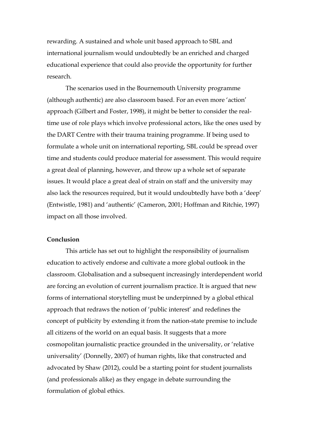rewarding. A sustained and whole unit based approach to SBL and international journalism would undoubtedly be an enriched and charged educational experience that could also provide the opportunity for further research.

The scenarios used in the Bournemouth University programme (although authentic) are also classroom based. For an even more 'action' approach (Gilbert and Foster, 1998), it might be better to consider the realtime use of role plays which involve professional actors, like the ones used by the DART Centre with their trauma training programme. If being used to formulate a whole unit on international reporting, SBL could be spread over time and students could produce material for assessment. This would require a great deal of planning, however, and throw up a whole set of separate issues. It would place a great deal of strain on staff and the university may also lack the resources required, but it would undoubtedly have both a 'deep' (Entwistle, 1981) and 'authentic' (Cameron, 2001; Hoffman and Ritchie, 1997) impact on all those involved.

## **Conclusion**

This article has set out to highlight the responsibility of journalism education to actively endorse and cultivate a more global outlook in the classroom. Globalisation and a subsequent increasingly interdependent world are forcing an evolution of current journalism practice. It is argued that new forms of international storytelling must be underpinned by a global ethical approach that redraws the notion of 'public interest' and redefines the concept of publicity by extending it from the nation-state premise to include all citizens of the world on an equal basis. It suggests that a more cosmopolitan journalistic practice grounded in the universality, or 'relative universality' (Donnelly, 2007) of human rights, like that constructed and advocated by Shaw (2012), could be a starting point for student journalists (and professionals alike) as they engage in debate surrounding the formulation of global ethics.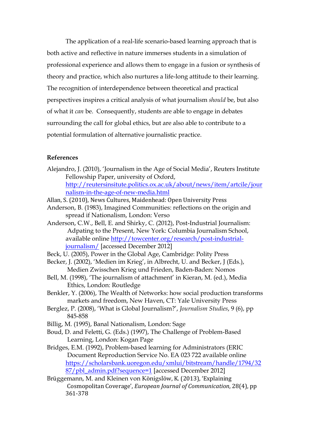The application of a real-life scenario-based learning approach that is both active and reflective in nature immerses students in a simulation of professional experience and allows them to engage in a fusion or synthesis of theory and practice, which also nurtures a life-long attitude to their learning. The recognition of interdependence between theoretical and practical perspectives inspires a critical analysis of what journalism *should* be, but also of what it *can* be. Consequently, students are able to engage in debates surrounding the call for global ethics, but are also able to contribute to a potential formulation of alternative journalistic practice.

## **References**

Alejandro, J. (2010), 'Journalism in the Age of Social Media', Reuters Institute Fellowship Paper, university of Oxford, [http://reutersinsitute.politics.ox.ac.uk/about/news/item/artcile/jour](http://reutersinsitute.politics.ox.ac.uk/about/news/item/artcile/journalism-in-the-age-of-new-media.html)

[nalism-in-the-age-of-new-media.html](http://reutersinsitute.politics.ox.ac.uk/about/news/item/artcile/journalism-in-the-age-of-new-media.html)

- Allan, S. (2010), News Cultures, Maidenhead: Open University Press
- Anderson, B. (1983), Imagined Communities: reflections on the origin and spread if Nationalism, London: Verso
- Anderson, C.W., Bell, E. and Shirky, C. (2012), Post-Industrial Journalism: Adpating to the Present, New York: Columbia Journalism School, available online [http://towcenter.org/research/post-industrial](http://towcenter.org/research/post-industrial-journalism/)[journalism/](http://towcenter.org/research/post-industrial-journalism/) [accessed December 2012]
- Beck, U. (2005), Power in the Global Age, Cambridge: Polity Press
- Becker, J. (2002), 'Medien im Krieg', in Albrecht, U. and Becker, J (Eds.), Medien Zwisschen Krieg und Frieden, Baden-Baden: Nomos
- Bell, M. (1998), 'The journalism of attachment' in Kieran, M. (ed.), Media Ethics, London: Routledge
- Benkler, Y. (2006), The Wealth of Networks: how social production transforms markets and freedom, New Haven, CT: Yale University Press
- Berglez, P. (2008), 'What is Global Journalism?', *Journalism Studies*, 9 (6), pp 845-858
- Billig, M. (1995), Banal Nationalism, London: Sage
- Boud, D. and Feletti, G. (Eds.) (1997), The Challenge of Problem-Based Learning, London: Kogan Page
- Bridges, E.M. (1992), Problem-based learning for Administrators (ERIC Document Reproduction Service No. EA 023 722 available online [https://scholarsbank.uoregon.edu/xmlui/bitstream/handle/1794/32](https://scholarsbank.uoregon.edu/xmlui/bitstream/handle/1794/3287/pbl_admin.pdf?sequence=1) [87/pbl\\_admin.pdf?sequence=1](https://scholarsbank.uoregon.edu/xmlui/bitstream/handle/1794/3287/pbl_admin.pdf?sequence=1) [accessed December 2012]
- Brüggemann, M. and Kleinen von Königslöw, K. (2013), 'Explaining Cosmopolitan Coverage', *European Journal of Communication*, 28(4), pp 361-378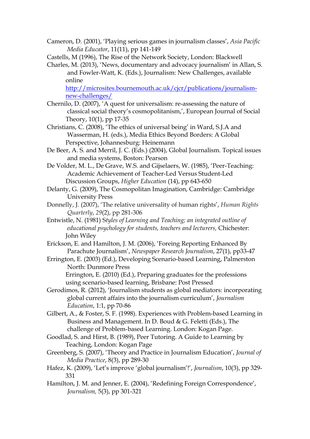- Cameron, D. (2001), 'Playing serious games in journalism classes', *Asia Pacific Media Educator*, 11(11), pp 141-149
- Castells, M (1996), The Rise of the Network Society, London: Blackwell
- Charles, M. (2013), 'News, documentary and advocacy journalism' in Allan, S. and Fowler-Watt, K. (Eds.), Journalism: New Challenges, available online

[http://microsites.bournemouth.ac.uk/cjcr/publications/journalism](http://microsites.bournemouth.ac.uk/cjcr/publications/journalism-new-challenges/)[new-challenges/](http://microsites.bournemouth.ac.uk/cjcr/publications/journalism-new-challenges/)

- Chernilo, D. (2007), 'A quest for universalism: re-assessing the nature of classical social theory's cosmopolitanism,', European Journal of Social Theory, 10(1), pp 17-35
- Christians, C. (2008), 'The ethics of universal being' in Ward, S.J.A and Wasserman, H. (eds.), Media Ethics Beyond Borders: A Global Perspective, Johannesburg: Heinemann
- De Beer, A. S. and Merril, J. C. (Eds.) (2004), Global Journalism. Topical issues and media systems, Boston: Pearson
- De Volder, M. L., De Grave, W.S. and Gijselaers, W. (1985), 'Peer-Teaching: Academic Achievement of Teacher-Led Versus Student-Led Discussion Groups, *Higher Education* (14), pp 643-650
- Delanty, G. (2009), The Cosmopolitan Imagination, Cambridge: Cambridge University Press
- Donnelly, J. (2007), 'The relative universality of human rights', *Human Rights Quarterly*, *29*(2), pp 281-306
- Entwistle, N. (1981) S*tyles of Learning and Teaching; an integrated outline of educational psychology for students, teachers and lecturers,* Chichester: John Wiley
- Erickson, E. and Hamilton, J. M. (2006), 'Foreing Reporting Enhanced By Parachute Journalism', *Newspaper Research Journalism*, 27(1), pp33-47
- Errington, E. (2003) (Ed.), Developing Scenario-based Learning, Palmerston North: Dunmore Press

Errington, E. (2010) (Ed.), Preparing graduates for the professions using scenario-based learning, Brisbane: Post Pressed

- Gerodimos, R. (2012), 'Journalism students as global mediators: incorporating global current affairs into the journalism curriculum', *Journalism Education*, 1:1, pp 70-86
- Gilbert, A., & Foster, S. F. (1998). Experiences with Problem-based Learning in Business and Management. In D. Boud & G. Feletti (Eds.), The challenge of Problem-based Learning. London: Kogan Page.
- Goodlad, S. and Hirst, B. (1989), Peer Tutoring. A Guide to Learning by Teaching, London: Kogan Page
- Greenberg, S. (2007), 'Theory and Practice in Journalism Education', *Journal of Media Practice*, 8(3), pp 289-30
- Hafez, K. (2009), 'Let's improve 'global journalism'!', *Journalism*, 10(3), pp 329- 331
- Hamilton, J. M. and Jenner, E. (2004), 'Redefining Foreign Correspondence', *Journalism,* 5(3), pp 301-321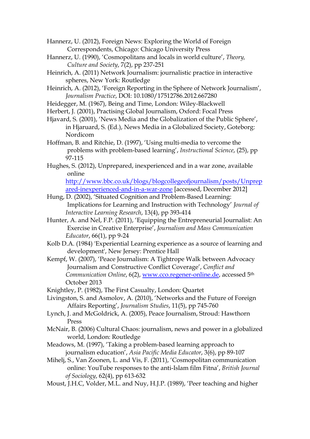Hannerz, U. (2012), Foreign News: Exploring the World of Foreign Correspondents, Chicago: Chicago University Press

- Hannerz, U. (1990), 'Cosmopolitans and locals in world culture', *Theory, Culture and Society*, 7(2), pp 237-251
- Heinrich, A. (2011) Network Journalism: journalistic practice in interactive spheres, New York: Routledge
- Heinrich, A. (2012), 'Foreign Reporting in the Sphere of Network Journalism', *Journalism Practice*, DOI: 10.1080/17512786.2012.667280
- Heidegger, M. (1967), Being and Time, London: Wiley-Blackwell
- Herbert, J. (2001), Practising Global Journalism, Oxford: Focal Press
- Hjavard, S. (2001), 'News Media and the Globalization of the Public Sphere', in Hjaruard, S. (Ed.), News Media in a Globalized Society, Goteborg: Nordicom
- Hoffman, B. and Ritchie, D. (1997), 'Using multi-media to vercome the problems with problem-based learning', *Instructional Science*, (25), pp 97-115
- Hughes, S. (2012), Unprepared, inexperienced and in a war zone, available online

[http://www.bbc.co.uk/blogs/blogcollegeofjournalism/posts/Unprep](http://www.bbc.co.uk/blogs/blogcollegeofjournalism/posts/Unprepared-inexperienced-and-in-a-war-zone) [ared-inexperienced-and-in-a-war-zone](http://www.bbc.co.uk/blogs/blogcollegeofjournalism/posts/Unprepared-inexperienced-and-in-a-war-zone) [accessed, December 2012]

- Hung, D. (2002), 'Situated Cognition and Problem-Based Learning: Implications for Learning and Instruction with Technology' *Journal of Interactive Learning Research*, 13(4), pp 393-414
- Hunter, A. and Nel, F.P. (2011), 'Equipping the Entrepreneurial Journalist: An Exercise in Creative Enterprise', *Journalism and Mass Communication Educator*, 66(1), pp 9-24
- Kolb D.A. (1984) 'Experiential Learning experience as a source of learning and development', New Jersey: Prentice Hall
- Kempf, W. (2007), 'Peace Journalism: A Tightrope Walk between Advocacy Journalism and Constructive Conflict Coverage', *Conflict and Communication Online*, 6(2), [www.cco.regener-online.de,](http://www.cco.regener-online.de/) accessed 5th October 2013

Knightley, P. (1982), The First Casualty, London: Quartet

- Livingston, S. and Asmolov, A. (2010), 'Networks and the Future of Foreign Affairs Reporting', *Journalism Studies*, 11(5), pp 745-760
- Lynch, J. and McGoldrick, A. (2005), Peace Journalism, Stroud: Hawthorn Press
- McNair, B. (2006) Cultural Chaos: journalism, news and power in a globalized world, London: Routledge
- Meadows, M. (1997), 'Taking a problem-based learning approach to journalism education', *Asia Pacific Media Educator*, 3(6), pp 89-107
- Mihelj, S., Van Zoonen, L. and Vis, F. (2011), 'Cosmopolitan communication online: YouTube responses to the anti-Islam film Fitna', *British Journal of Sociology*, 62(4), pp 613-632
- Moust, J.H.C, Volder, M.L. and Nuy, H.J.P. (1989), 'Peer teaching and higher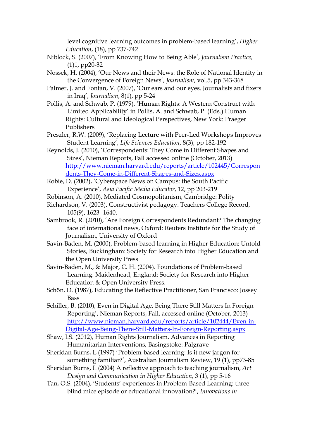level cognitive learning outcomes in problem-based learning', *Higher Education*, (18), pp 737-742

- Niblock, S. (2007), 'From Knowing How to Being Able', *Journalism Practice,* (1)1, pp20-32
- Nossek, H. (2004), 'Our News and their News: the Role of National Identity in the Convergence of Foreign News', *Journalism*, vol.5, pp 343-368
- Palmer, J. and Fontan, V. (2007), 'Our ears and our eyes. Journalists and fixers in Iraq', *Journalism*, 8(1), pp 5-24
- Pollis, A. and Schwab, P. (1979), 'Human Rights: A Western Construct with Limited Applicability' in Pollis, A. and Schwab, P. (Eds.) Human Rights: Cultural and Ideological Perspectives, New York: Praeger Publishers
- Preszler, R.W. (2009), 'Replacing Lecture with Peer-Led Workshops Improves Student Learning', *Life Sciences Education*, 8(3), pp 182-192
- Reynolds, J. (2010), 'Correspondents: They Come in Different Shapes and Sizes', Nieman Reports, Fall accessed online (October, 2013) [http://www.nieman.harvard.edu/reports/article/102445/Correspon](http://www.nieman.harvard.edu/reports/article/102445/Correspondents-They-Come-in-Different-Shapes-and-Sizes.aspx) [dents-They-Come-in-Different-Shapes-and-Sizes.aspx](http://www.nieman.harvard.edu/reports/article/102445/Correspondents-They-Come-in-Different-Shapes-and-Sizes.aspx)
- Robie, D. (2002), 'Cyberspace News on Campus: the South Pacific Experience', *Asia Pacific Media Educator*, 12, pp 203-219
- Robinson, A. (2010), Mediated Cosmopolitanism, Cambridge: Polity
- Richardson, V. (2003). Constructivist pedagogy. Teachers College Record, 105(9), 1623- 1640.
- Sambrook, R. (2010), 'Are Foreign Correspondents Redundant? The changing face of international news, Oxford: Reuters Institute for the Study of Journalism, University of Oxford
- Savin-Baden, M. (2000), Problem-based learning in Higher Education: Untold Stories, Buckingham: Society for Research into Higher Education and the Open University Press
- Savin-Baden, M., & Major, C. H. (2004). Foundations of Problem-based Learning. Maidenhead, England: Society for Research into Higher Education & Open University Press.
- Schön, D. (1987), Educating the Reflective Practitioner, San Francisco: Jossey Bass
- Schiller, B. (2010), Even in Digital Age, Being There Still Matters In Foreign Reporting', Nieman Reports, Fall, accessed online (October, 2013) [http://www.nieman.harvard.edu/reports/article/102444/Even-in-](http://www.nieman.harvard.edu/reports/article/102444/Even-in-Digital-Age-Being-There-Still-Matters-In-Foreign-Reporting.aspx)[Digital-Age-Being-There-Still-Matters-In-Foreign-Reporting.aspx](http://www.nieman.harvard.edu/reports/article/102444/Even-in-Digital-Age-Being-There-Still-Matters-In-Foreign-Reporting.aspx)
- Shaw, I.S. (2012), Human Rights Journalism. Advances in Reporting Humanitarian Interventions, Basingstoke: Palgrave
- Sheridan Burns, L (1997) 'Problem-based learning: Is it new jargon for something familiar?', Australian Journalism Review, 19 (1), pp73-85
- Sheridan Burns, L (2004) A reflective approach to teaching journalism, *Art Design and Communication in Higher Education*, 3 (1), pp 5-16
- Tan, O.S. (2004), 'Students' experiences in Problem-Based Learning: three blind mice episode or educational innovation?', *Innovations in*